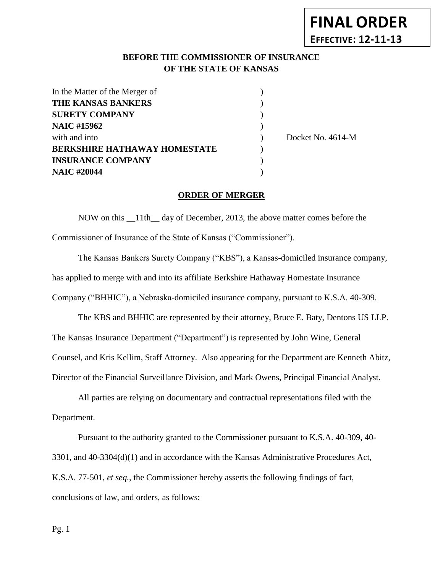# **BEFORE THE COMMISSIONER OF INSURANCE** *-12***OF THE STATE OF KANSAS**

**FINAL ORDER**

**EFFECTIVE: 12-11-13**

| In the Matter of the Merger of      |                   |
|-------------------------------------|-------------------|
| <b>THE KANSAS BANKERS</b>           |                   |
| <b>SURETY COMPANY</b>               |                   |
| <b>NAIC #15962</b>                  |                   |
| with and into                       | Docket No. 4614-M |
| <b>BERKSHIRE HATHAWAY HOMESTATE</b> |                   |
| <b>INSURANCE COMPANY</b>            |                   |
| <b>NAIC #20044</b>                  |                   |

### **ORDER OF MERGER**

NOW on this \_\_11th\_\_ day of December, 2013, the above matter comes before the Commissioner of Insurance of the State of Kansas ("Commissioner").

The Kansas Bankers Surety Company ("KBS"), a Kansas-domiciled insurance company, has applied to merge with and into its affiliate Berkshire Hathaway Homestate Insurance Company ("BHHIC"), a Nebraska-domiciled insurance company, pursuant to K.S.A. 40-309.

The KBS and BHHIC are represented by their attorney, Bruce E. Baty, Dentons US LLP. The Kansas Insurance Department ("Department") is represented by John Wine, General Counsel, and Kris Kellim, Staff Attorney. Also appearing for the Department are Kenneth Abitz, Director of the Financial Surveillance Division, and Mark Owens, Principal Financial Analyst.

All parties are relying on documentary and contractual representations filed with the Department.

Pursuant to the authority granted to the Commissioner pursuant to K.S.A. 40-309, 40- 3301, and 40-3304(d)(1) and in accordance with the Kansas Administrative Procedures Act, K.S.A. 77-501, *et seq.,* the Commissioner hereby asserts the following findings of fact, conclusions of law, and orders, as follows: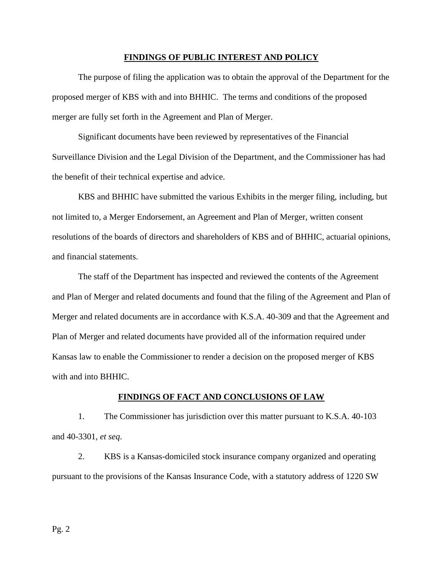#### **FINDINGS OF PUBLIC INTEREST AND POLICY**

The purpose of filing the application was to obtain the approval of the Department for the proposed merger of KBS with and into BHHIC. The terms and conditions of the proposed merger are fully set forth in the Agreement and Plan of Merger.

Significant documents have been reviewed by representatives of the Financial Surveillance Division and the Legal Division of the Department, and the Commissioner has had the benefit of their technical expertise and advice.

KBS and BHHIC have submitted the various Exhibits in the merger filing, including, but not limited to, a Merger Endorsement, an Agreement and Plan of Merger, written consent resolutions of the boards of directors and shareholders of KBS and of BHHIC, actuarial opinions, and financial statements.

The staff of the Department has inspected and reviewed the contents of the Agreement and Plan of Merger and related documents and found that the filing of the Agreement and Plan of Merger and related documents are in accordance with K.S.A. 40-309 and that the Agreement and Plan of Merger and related documents have provided all of the information required under Kansas law to enable the Commissioner to render a decision on the proposed merger of KBS with and into BHHIC.

#### **FINDINGS OF FACT AND CONCLUSIONS OF LAW**

1. The Commissioner has jurisdiction over this matter pursuant to K.S.A. 40-103 and 40-3301, *et seq*.

2. KBS is a Kansas-domiciled stock insurance company organized and operating pursuant to the provisions of the Kansas Insurance Code, with a statutory address of 1220 SW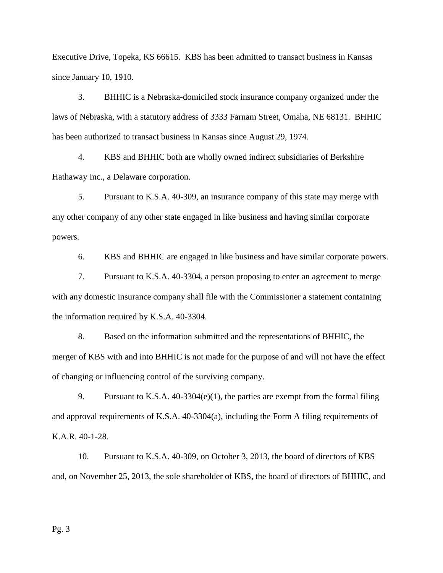Executive Drive, Topeka, KS 66615. KBS has been admitted to transact business in Kansas since January 10, 1910.

3. BHHIC is a Nebraska-domiciled stock insurance company organized under the laws of Nebraska, with a statutory address of 3333 Farnam Street, Omaha, NE 68131. BHHIC has been authorized to transact business in Kansas since August 29, 1974.

4. KBS and BHHIC both are wholly owned indirect subsidiaries of Berkshire Hathaway Inc., a Delaware corporation.

5. Pursuant to K.S.A. 40-309, an insurance company of this state may merge with any other company of any other state engaged in like business and having similar corporate powers.

6. KBS and BHHIC are engaged in like business and have similar corporate powers.

7. Pursuant to K.S.A. 40-3304, a person proposing to enter an agreement to merge with any domestic insurance company shall file with the Commissioner a statement containing the information required by K.S.A. 40-3304.

8. Based on the information submitted and the representations of BHHIC, the merger of KBS with and into BHHIC is not made for the purpose of and will not have the effect of changing or influencing control of the surviving company.

9. Pursuant to K.S.A. 40-3304(e)(1), the parties are exempt from the formal filing and approval requirements of K.S.A. 40-3304(a), including the Form A filing requirements of K.A.R. 40-1-28.

10. Pursuant to K.S.A. 40-309, on October 3, 2013, the board of directors of KBS and, on November 25, 2013, the sole shareholder of KBS, the board of directors of BHHIC, and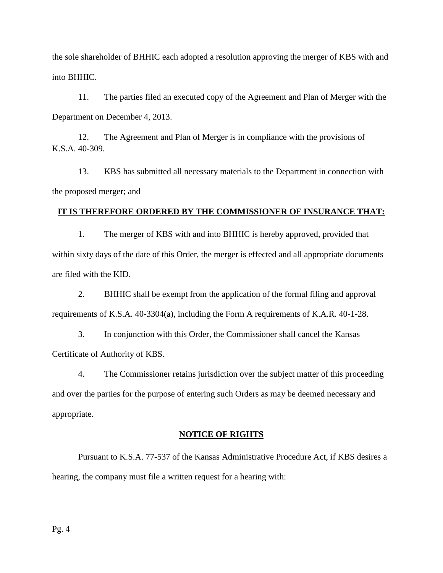the sole shareholder of BHHIC each adopted a resolution approving the merger of KBS with and into BHHIC.

11. The parties filed an executed copy of the Agreement and Plan of Merger with the Department on December 4, 2013.

12. The Agreement and Plan of Merger is in compliance with the provisions of K.S.A. 40-309.

13. KBS has submitted all necessary materials to the Department in connection with the proposed merger; and

### **IT IS THEREFORE ORDERED BY THE COMMISSIONER OF INSURANCE THAT:**

1. The merger of KBS with and into BHHIC is hereby approved, provided that within sixty days of the date of this Order, the merger is effected and all appropriate documents are filed with the KID.

2. BHHIC shall be exempt from the application of the formal filing and approval requirements of K.S.A. 40-3304(a), including the Form A requirements of K.A.R. 40-1-28.

3. In conjunction with this Order, the Commissioner shall cancel the Kansas Certificate of Authority of KBS.

4. The Commissioner retains jurisdiction over the subject matter of this proceeding and over the parties for the purpose of entering such Orders as may be deemed necessary and appropriate.

### **NOTICE OF RIGHTS**

Pursuant to K.S.A. 77-537 of the Kansas Administrative Procedure Act, if KBS desires a hearing, the company must file a written request for a hearing with: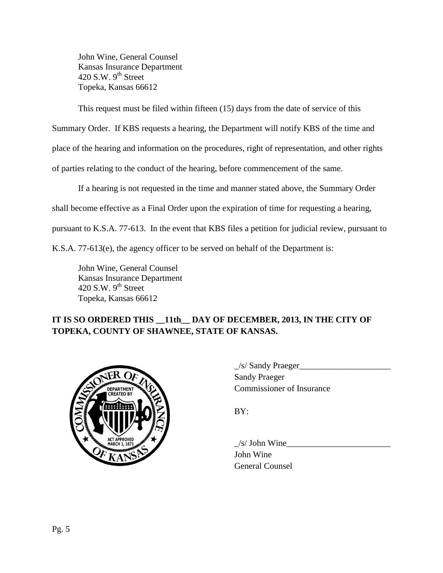John Wine, General Counsel Kansas Insurance Department 420 S.W.  $9<sup>th</sup>$  Street Topeka, Kansas 66612

This request must be filed within fifteen (15) days from the date of service of this

Summary Order. If KBS requests a hearing, the Department will notify KBS of the time and

place of the hearing and information on the procedures, right of representation, and other rights

of parties relating to the conduct of the hearing, before commencement of the same.

If a hearing is not requested in the time and manner stated above, the Summary Order

shall become effective as a Final Order upon the expiration of time for requesting a hearing,

pursuant to K.S.A. 77-613. In the event that KBS files a petition for judicial review, pursuant to

K.S.A. 77-613(e), the agency officer to be served on behalf of the Department is:

John Wine, General Counsel Kansas Insurance Department 420 S.W.  $9^{th}$  Street Topeka, Kansas 66612

# **IT IS SO ORDERED THIS \_\_11th\_\_ DAY OF DECEMBER, 2013, IN THE CITY OF TOPEKA, COUNTY OF SHAWNEE, STATE OF KANSAS.**



 $\angle$ s/ Sandy Praeger $\angle$ Sandy Praeger Commissioner of Insurance

BY:

 $\angle$ s/ John Wine John Wine General Counsel